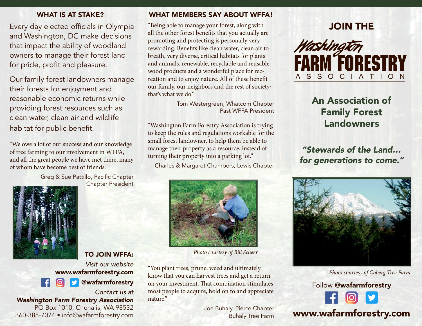Every day elected officials in Olympia and Washington, DC make decisions that impact the ability of woodland owners to manage their forest land for pride, profit and pleasure.

Our family forest landowners manage their forests for enjoyment and reasonable economic returns while providing forest resources such as clean water, clean air and wildlife habitat for public benefit.

"We owe a lot of our success and our knowledge of tree farming to our involvement in WFFA, and all the great people we have met there, many of whom have become best of friends."

> Greg & Sue Pattillo, Pacific Chapter Chapter President





*Contact us at Washington Farm Forestry Association* PO Box 1010, Chehalis, WA 98532 360-388-7074 • info@wafarmforestry.com

#### WHAT IS AT STAKE? WHAT MEMBERS SAY ABOUT WFFA!

"Being able to manage your forest, along with all the other forest benefits that you actually are promoting and protecting is personally very rewarding. Benefits like clean water, clean air to breath, very diverse, critical habitats for plants and animals, renewable, recyclable and reusable wood products and a wonderful place for recreation and to enjoy nature. All of these benefit our family, our neighbors and the rest of society; that's what we do."

> Tom Westergreen, Whatcom Chapter Past WFFA President

"Washington Farm Forestry Association is trying to keep the rules and regulations workable for the small forest landowner, to help them be able to manage their property as a resource, instead of turning their property into a parking lot."

Charles & Margaret Chambers, Lewis Chapter



*Photo courtesy of Bill Scheer*

"You plant trees, prune, weed and ultimately know that you can harvest trees and get a return on your investment. That combination stimulates most people to acquire, hold on to and appreciate nature."

> Joe Buhaly, Pierce Chapter Buhaly Tree Farm

## JOIN THE



# An Association of Family Forest Landowners

*"Stewards of the Land… for generations to come."*



*Photo courtesy of Coberg Tree Farm*

Follow @wafarmforestry

# www.wafarmforestry.com